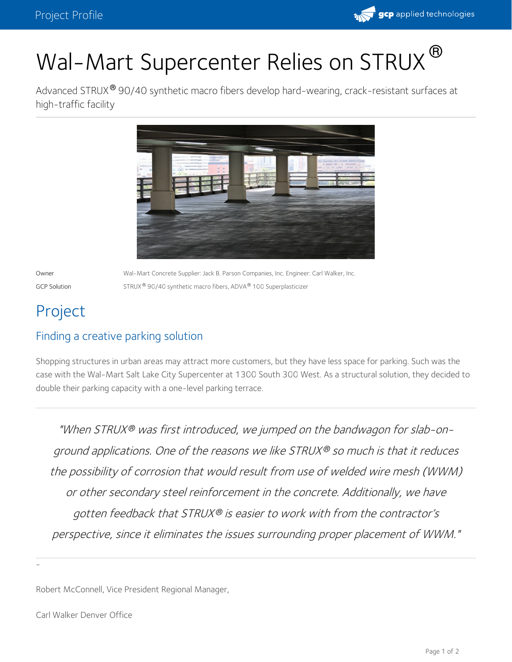

Advanced STRUX® 90/40 synthetic macro fibers develop hard-wearing, crack-resistant surfaces at high-traffic facility



Owner Wal-Mart Concrete Supplier: Jack B. Parson Companies, Inc. Engineer: Carl Walker, Inc. GCP Solution  $STRUX^{\circledast}$  90/40 synthetic macro fibers, ADVA $^{\circledast}$  100 Superplasticizer

# Project

# Finding a creative parking solution

Shopping structures in urban areas may attract more customers, but they have less space for parking. Such was the case with the Wal-Mart Salt Lake City Supercenter at 1300 South 300 West. As a structural solution, they decided to double their parking capacity with a one-level parking terrace.

"When STRUX® was first introduced, we jumped on the bandwagon for slab-onground applications. One of the reasons we like STRUX® so much is that it reduces the possibility of corrosion that would result from use of welded wire mesh (WWM) or other secondary steel reinforcement in the concrete. Additionally, we have gotten feedback that STRUX® is easier to work with from the contractor's perspective, since it eliminates the issues surrounding proper placement of WWM."

Robert McConnell, Vice President Regional Manager,

-